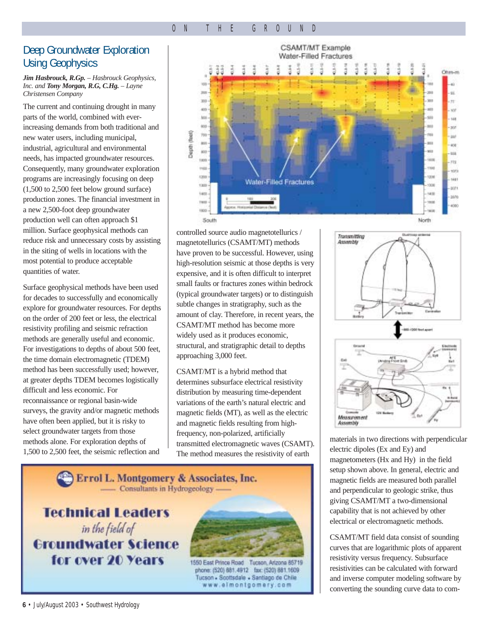#### ON THE GROUND

## Deep Groundwater Exploration Using Geophysics

#### *Jim Hasbrouck, R.Gp. – Hasbrouck Geophysics, Inc. and Tony Morgan, R.G, C.Hg. – Layne Christensen Company*

The current and continuing drought in many parts of the world, combined with everincreasing demands from both traditional and new water users, including municipal, industrial, agricultural and environmental needs, has impacted groundwater resources. Consequently, many groundwater exploration programs are increasingly focusing on deep (1,500 to 2,500 feet below ground surface) production zones. The financial investment in a new 2,500-foot deep groundwater production well can often approach \$1 million. Surface geophysical methods can reduce risk and unnecessary costs by assisting in the siting of wells in locations with the most potential to produce acceptable quantities of water.

Surface geophysical methods have been used for decades to successfully and economically explore for groundwater resources. For depths on the order of 200 feet or less, the electrical resistivity profiling and seismic refraction methods are generally useful and economic. For investigations to depths of about 500 feet, the time domain electromagnetic (TDEM) method has been successfully used; however, at greater depths TDEM becomes logistically difficult and less economic. For reconnaissance or regional basin-wide surveys, the gravity and/or magnetic methods have often been applied, but it is risky to select groundwater targets from those methods alone. For exploration depths of 1,500 to 2,500 feet, the seismic reflection and



controlled source audio magnetotellurics / magnetotellurics (CSAMT/MT) methods have proven to be successful. However, using high-resolution seismic at those depths is very expensive, and it is often difficult to interpret small faults or fractures zones within bedrock (typical groundwater targets) or to distinguish subtle changes in stratigraphy, such as the amount of clay. Therefore, in recent years, the CSAMT/MT method has become more widely used as it produces economic, structural, and stratigraphic detail to depths approaching 3,000 feet.

CSAMT/MT is a hybrid method that determines subsurface electrical resistivity distribution by measuring time-dependent variations of the earth's natural electric and magnetic fields (MT), as well as the electric and magnetic fields resulting from highfrequency, non-polarized, artificially transmitted electromagnetic waves (CSAMT). The method measures the resistivity of earth





materials in two directions with perpendicular electric dipoles (Ex and Ey) and magnetometers (Hx and Hy) in the field setup shown above. In general, electric and magnetic fields are measured both parallel and perpendicular to geologic strike, thus giving CSAMT/MT a two-dimensional capability that is not achieved by other electrical or electromagnetic methods.

CSAMT/MT field data consist of sounding curves that are logarithmic plots of apparent resistivity versus frequency. Subsurface resistivities can be calculated with forward and inverse computer modeling software by converting the sounding curve data to com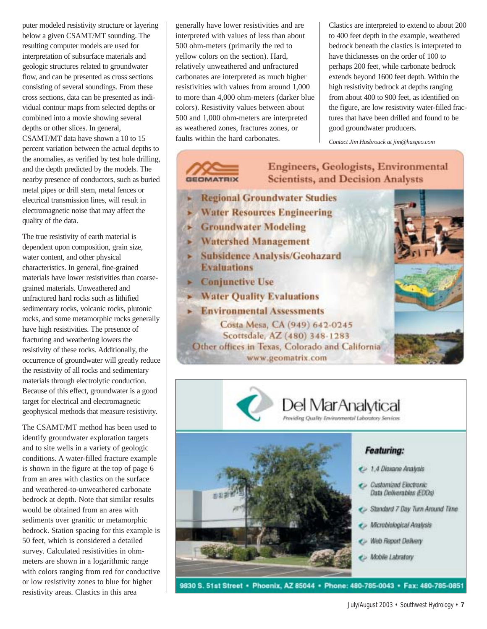puter modeled resistivity structure or layering below a given CSAMT/MT sounding. The resulting computer models are used for interpretation of subsurface materials and geologic structures related to groundwater flow, and can be presented as cross sections consisting of several soundings. From these cross sections, data can be presented as individual contour maps from selected depths or combined into a movie showing several depths or other slices. In general, CSAMT/MT data have shown a 10 to 15 percent variation between the actual depths to the anomalies, as verified by test hole drilling, and the depth predicted by the models. The nearby presence of conductors, such as buried metal pipes or drill stem, metal fences or electrical transmission lines, will result in electromagnetic noise that may affect the quality of the data.

The true resistivity of earth material is dependent upon composition, grain size, water content, and other physical characteristics. In general, fine-grained materials have lower resistivities than coarsegrained materials. Unweathered and unfractured hard rocks such as lithified sedimentary rocks, volcanic rocks, plutonic rocks, and some metamorphic rocks generally have high resistivities. The presence of fracturing and weathering lowers the resistivity of these rocks. Additionally, the occurrence of groundwater will greatly reduce the resistivity of all rocks and sedimentary materials through electrolytic conduction. Because of this effect, groundwater is a good target for electrical and electromagnetic geophysical methods that measure resistivity.

The CSAMT/MT method has been used to identify groundwater exploration targets and to site wells in a variety of geologic conditions. A water-filled fracture example is shown in the figure at the top of page 6 from an area with clastics on the surface and weathered-to-unweathered carbonate bedrock at depth. Note that similar results would be obtained from an area with sediments over granitic or metamorphic bedrock. Station spacing for this example is 50 feet, which is considered a detailed survey. Calculated resistivities in ohmmeters are shown in a logarithmic range with colors ranging from red for conductive or low resistivity zones to blue for higher resistivity areas. Clastics in this area

generally have lower resistivities and are interpreted with values of less than about 500 ohm-meters (primarily the red to yellow colors on the section). Hard, relatively unweathered and unfractured carbonates are interpreted as much higher resistivities with values from around 1,000 to more than 4,000 ohm-meters (darker blue colors). Resistivity values between about 500 and 1,000 ohm-meters are interpreted as weathered zones, fractures zones, or faults within the hard carbonates.

**GEOMATRIX** 

Clastics are interpreted to extend to about 200 to 400 feet depth in the example, weathered bedrock beneath the clastics is interpreted to have thicknesses on the order of 100 to perhaps 200 feet, while carbonate bedrock extends beyond 1600 feet depth. Within the high resistivity bedrock at depths ranging from about 400 to 900 feet, as identified on the figure, are low resistivity water-filled fractures that have been drilled and found to be good groundwater producers.

*Contact Jim Hasbrouck at jim@hasgeo.com*

# **Engineers, Geologists, Environmental Scientists, and Decision Analysts Regional Groundwater Studies Water Resources Engineering Groundwater Modeling** ▶ Watershed Management > Subsidence Analysis/Geohazard **Evaluations Conjunctive Use** > Water Quality Evaluations  $\blacktriangleright$  Environmental Assessments Costa Mesa, CA (949) 642-0245 Scottsdale, AZ (480) 348-1283 Other offices in Texas, Colorado and California www.geomatrix.com

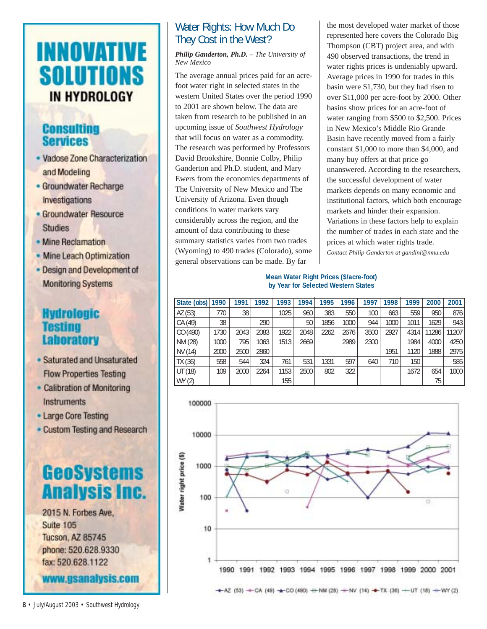# **INNOVATIVE SOLUTIONS** IN HYDROLOGY

# **Consulting Services**

- · Vadose Zone Characterization and Modeling
- Groundwater Recharge Investigations
- · Groundwater Resource **Studies**
- Mine Reclamation
- Mine Leach Optimization
- Design and Development of **Monitoring Systems**

# **Hydrologic Testing** Laboratory

- · Saturated and Unsaturated **Flow Properties Testing**
- Calibration of Monitoring Instruments
- Large Core Testing
- Custom Testing and Research



www.gsanalysis.com

## Water Rights: How Much Do They Cost in the West?

*Philip Ganderton, Ph.D. – The University of New Mexico*

The average annual prices paid for an acrefoot water right in selected states in the western United States over the period 1990 to 2001 are shown below. The data are taken from research to be published in an upcoming issue of *Southwest Hydrology* that will focus on water as a commodity. The research was performed by Professors David Brookshire, Bonnie Colby, Philip Ganderton and Ph.D. student, and Mary Ewers from the economics departments of The University of New Mexico and The University of Arizona. Even though conditions in water markets vary considerably across the region, and the amount of data contributing to these summary statistics varies from two trades (Wyoming) to 490 trades (Colorado), some general observations can be made. By far

the most developed water market of those represented here covers the Colorado Big Thompson (CBT) project area, and with 490 observed transactions, the trend in water rights prices is undeniably upward. Average prices in 1990 for trades in this basin were \$1,730, but they had risen to over \$11,000 per acre-foot by 2000. Other basins show prices for an acre-foot of water ranging from \$500 to \$2,500. Prices in New Mexico's Middle Rio Grande Basin have recently moved from a fairly constant \$1,000 to more than \$4,000, and many buy offers at that price go unanswered. According to the researchers, the successful development of water markets depends on many economic and institutional factors, which both encourage markets and hinder their expansion. Variations in these factors help to explain the number of trades in each state and the prices at which water rights trade. *Contact Philip Ganderton at gandini@nmu.edu* 

#### **Mean Water Right Prices (\$/acre-foot) by Year for Selected Western States**

| State (obs) 1990 |      | 1991 | 1992 | 1993 | 1994 | 1995 | 1996 | 1997 | 1998 | 1999 | 2000  | 2001 l |
|------------------|------|------|------|------|------|------|------|------|------|------|-------|--------|
| AZ (53)          | 770  | 38   |      | 1025 | 960  | 383  | 550  | 100  | 663  | 559  | 950   | 876    |
| CA (49)          | 38   |      | 290  |      | 50   | 1856 | 1000 | 944  | 1000 | 1011 | 1629  | 943 l  |
| CO (490)         | 1730 | 2043 | 2083 | 1922 | 2048 | 2262 | 2676 | 3500 | 2927 | 4314 | 11286 | 11207  |
| NM (28)          | 1000 | 795  | 1063 | 1513 | 2669 |      | 2989 | 2300 |      | 1984 | 4000  | 4250   |
| NV (14)          | 2000 | 2500 | 2860 |      |      |      |      |      | 1951 | 1120 | 1888  | 2975   |
| TX (36)          | 558  | 544  | 324  | 761  | 531  | 1331 | 597  | 640  | 710  | 150  |       | 585    |
| UT (18)          | 109  | 2000 | 2264 | 1153 | 2500 | 802  | 322  |      |      | 1672 | 654   | 1000   |
| WY (2)           |      |      |      | 155  |      |      |      |      |      |      | 75    |        |



**8** • July/August 2003 • Southwest Hydrology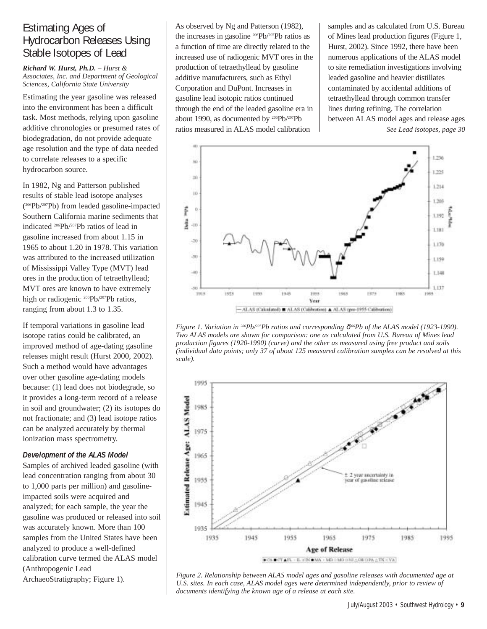# Estimating Ages of Hydrocarbon Releases Using Stable Isotopes of Lead

#### *Richard W. Hurst, Ph.D. – Hurst & Associates, Inc. and Department of Geological Sciences, California State University*

Estimating the year gasoline was released into the environment has been a difficult task. Most methods, relying upon gasoline additive chronologies or presumed rates of biodegradation, do not provide adequate age resolution and the type of data needed to correlate releases to a specific hydrocarbon source.

In 1982, Ng and Patterson published results of stable lead isotope analyses (<sup>206</sup>Pb/<sup>207</sup>Pb) from leaded gasoline-impacted Southern California marine sediments that indicated 206Pb/207Pb ratios of lead in gasoline increased from about 1.15 in 1965 to about 1.20 in 1978. This variation was attributed to the increased utilization of Mississippi Valley Type (MVT) lead ores in the production of tetraethyllead; MVT ores are known to have extremely high or radiogenic 206Pb/207Pb ratios, ranging from about 1.3 to 1.35.

If temporal variations in gasoline lead isotope ratios could be calibrated, an improved method of age-dating gasoline releases might result (Hurst 2000, 2002). Such a method would have advantages over other gasoline age-dating models because: (1) lead does not biodegrade, so it provides a long-term record of a release in soil and groundwater; (2) its isotopes do not fractionate; and (3) lead isotope ratios can be analyzed accurately by thermal ionization mass spectrometry.

#### *Development of the ALAS Model*

Samples of archived leaded gasoline (with lead concentration ranging from about 30 to 1,000 parts per million) and gasolineimpacted soils were acquired and analyzed; for each sample, the year the gasoline was produced or released into soil was accurately known. More than 100 samples from the United States have been analyzed to produce a well-defined calibration curve termed the ALAS model (Anthropogenic Lead ArchaeoStratigraphy; Figure 1).

As observed by Ng and Patterson (1982), the increases in gasoline 206Pb/207Pb ratios as a function of time are directly related to the increased use of radiogenic MVT ores in the production of tetraethyllead by gasoline additive manufacturers, such as Ethyl Corporation and DuPont. Increases in gasoline lead isotopic ratios continued through the end of the leaded gasoline era in about 1990, as documented by 206Pb/207Pb ratios measured in ALAS model calibration

samples and as calculated from U.S. Bureau of Mines lead production figures (Figure 1, Hurst, 2002). Since 1992, there have been numerous applications of the ALAS model to site remediation investigations involving leaded gasoline and heavier distillates contaminated by accidental additions of tetraethyllead through common transfer lines during refining. The correlation between ALAS model ages and release ages *See Lead isotopes, page 30*



*Figure 1. Variation in <sup>206</sup>Pb/<sup>207</sup>Pb ratios and corresponding δ<sup>206</sup>Pb of the ALAS model (1923-1990). Two ALAS models are shown for comparison: one as calculated from U.S. Bureau of Mines lead production figures (1920-1990) (curve) and the other as measured using free product and soils (individual data points; only 37 of about 125 measured calibration samples can be resolved at this scale).* 



*Figure 2. Relationship between ALAS model ages and gasoline releases with documented age at U.S. sites. In each case, ALAS model ages were determined independently, prior to review of documents identifying the known age of a release at each site.*